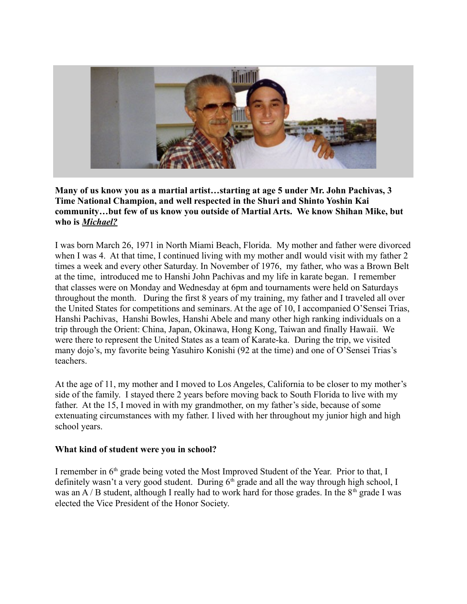

**Many of us know you as a martial artist…starting at age 5 under Mr. John Pachivas, 3 Time National Champion, and well respected in the Shuri and Shinto Yoshin Kai community…but few of us know you outside of Martial Arts. We know Shihan Mike, but who is** *Michael?*

I was born March 26, 1971 in North Miami Beach, Florida. My mother and father were divorced when I was 4. At that time, I continued living with my mother andI would visit with my father 2 times a week and every other Saturday. In November of 1976, my father, who was a Brown Belt at the time, introduced me to Hanshi John Pachivas and my life in karate began. I remember that classes were on Monday and Wednesday at 6pm and tournaments were held on Saturdays throughout the month. During the first 8 years of my training, my father and I traveled all over the United States for competitions and seminars. At the age of 10, I accompanied O'Sensei Trias, Hanshi Pachivas, Hanshi Bowles, Hanshi Abele and many other high ranking individuals on a trip through the Orient: China, Japan, Okinawa, Hong Kong, Taiwan and finally Hawaii. We were there to represent the United States as a team of Karate-ka. During the trip, we visited many dojo's, my favorite being Yasuhiro Konishi (92 at the time) and one of O'Sensei Trias's teachers.

At the age of 11, my mother and I moved to Los Angeles, California to be closer to my mother's side of the family. I stayed there 2 years before moving back to South Florida to live with my father. At the 15, I moved in with my grandmother, on my father's side, because of some extenuating circumstances with my father. I lived with her throughout my junior high and high school years.

#### **What kind of student were you in school?**

I remember in 6<sup>th</sup> grade being voted the Most Improved Student of the Year. Prior to that, I definitely wasn't a very good student. During  $6<sup>th</sup>$  grade and all the way through high school, I was an A / B student, although I really had to work hard for those grades. In the  $8<sup>th</sup>$  grade I was elected the Vice President of the Honor Society.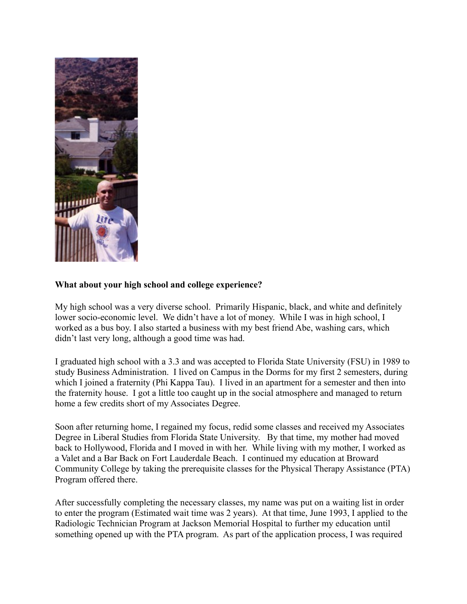

#### **What about your high school and college experience?**

My high school was a very diverse school. Primarily Hispanic, black, and white and definitely lower socio-economic level. We didn't have a lot of money. While I was in high school, I worked as a bus boy. I also started a business with my best friend Abe, washing cars, which didn't last very long, although a good time was had.

I graduated high school with a 3.3 and was accepted to Florida State University (FSU) in 1989 to study Business Administration. I lived on Campus in the Dorms for my first 2 semesters, during which I joined a fraternity (Phi Kappa Tau). I lived in an apartment for a semester and then into the fraternity house. I got a little too caught up in the social atmosphere and managed to return home a few credits short of my Associates Degree.

Soon after returning home, I regained my focus, redid some classes and received my Associates Degree in Liberal Studies from Florida State University. By that time, my mother had moved back to Hollywood, Florida and I moved in with her. While living with my mother, I worked as a Valet and a Bar Back on Fort Lauderdale Beach. I continued my education at Broward Community College by taking the prerequisite classes for the Physical Therapy Assistance (PTA) Program offered there.

After successfully completing the necessary classes, my name was put on a waiting list in order to enter the program (Estimated wait time was 2 years). At that time, June 1993, I applied to the Radiologic Technician Program at Jackson Memorial Hospital to further my education until something opened up with the PTA program. As part of the application process, I was required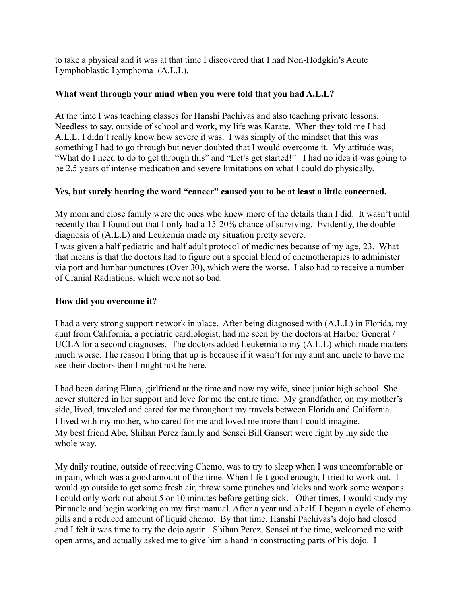to take a physical and it was at that time I discovered that I had Non-Hodgkin's Acute Lymphoblastic Lymphoma (A.L.L).

## **What went through your mind when you were told that you had A.L.L?**

At the time I was teaching classes for Hanshi Pachivas and also teaching private lessons. Needless to say, outside of school and work, my life was Karate. When they told me I had A.L.L, I didn't really know how severe it was. I was simply of the mindset that this was something I had to go through but never doubted that I would overcome it. My attitude was, "What do I need to do to get through this" and "Let's get started!" I had no idea it was going to be 2.5 years of intense medication and severe limitations on what I could do physically.

# **Yes, but surely hearing the word "cancer" caused you to be at least a little concerned.**

My mom and close family were the ones who knew more of the details than I did. It wasn't until recently that I found out that I only had a 15-20% chance of surviving. Evidently, the double diagnosis of (A.L.L) and Leukemia made my situation pretty severe.

I was given a half pediatric and half adult protocol of medicines because of my age, 23. What that means is that the doctors had to figure out a special blend of chemotherapies to administer via port and lumbar punctures (Over 30), which were the worse. I also had to receive a number of Cranial Radiations, which were not so bad.

## **How did you overcome it?**

I had a very strong support network in place. After being diagnosed with (A.L.L) in Florida, my aunt from California, a pediatric cardiologist, had me seen by the doctors at Harbor General / UCLA for a second diagnoses. The doctors added Leukemia to my (A.L.L) which made matters much worse. The reason I bring that up is because if it wasn't for my aunt and uncle to have me see their doctors then I might not be here.

I had been dating Elana, girlfriend at the time and now my wife, since junior high school. She never stuttered in her support and love for me the entire time. My grandfather, on my mother's side, lived, traveled and cared for me throughout my travels between Florida and California. I lived with my mother, who cared for me and loved me more than I could imagine. My best friend Abe, Shihan Perez family and Sensei Bill Gansert were right by my side the whole way.

My daily routine, outside of receiving Chemo, was to try to sleep when I was uncomfortable or in pain, which was a good amount of the time. When I felt good enough, I tried to work out. I would go outside to get some fresh air, throw some punches and kicks and work some weapons. I could only work out about 5 or 10 minutes before getting sick. Other times, I would study my Pinnacle and begin working on my first manual. After a year and a half, I began a cycle of chemo pills and a reduced amount of liquid chemo. By that time, Hanshi Pachivas's dojo had closed and I felt it was time to try the dojo again. Shihan Perez, Sensei at the time, welcomed me with open arms, and actually asked me to give him a hand in constructing parts of his dojo. I